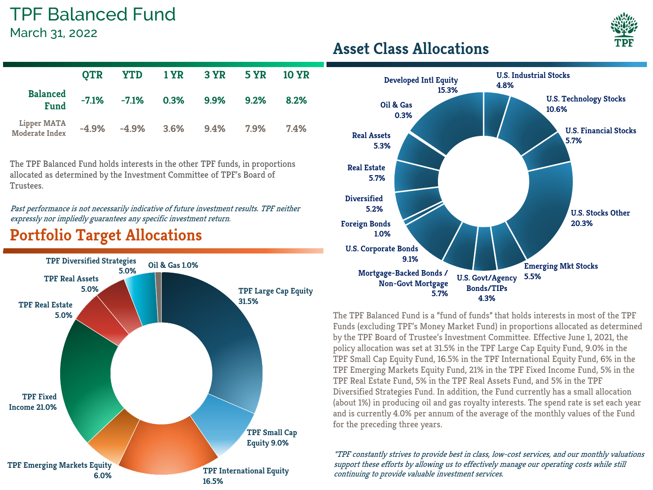# TPF Balanced Fund

March 31, 2022

|                                | <b>OTR</b> |                                  | YTD 1YR 3YR 5YR 10YR |      |
|--------------------------------|------------|----------------------------------|----------------------|------|
| <b>Balanced</b><br><b>Fund</b> |            | $-7.1\%$ $-7.1\%$ 0.3% 9.9% 9.2% |                      | 8.2% |
| Lipper MATA<br>Moderate Index  |            | $-4.9\%$ $-4.9\%$ 3.6% 9.4% 7.9% |                      | 7.4% |

The TPF Balanced Fund holds interests in the other TPF funds, in proportions allocated as determined by the Investment Committee of TPF's Board of Trustees.

Past performance is not necessarily indicative of future investment results. TPF neither expressly nor impliedly guarantees any specific investment return.

#### **Portfolio Target Allocations**



#### **Asset Class Allocations**



The TPF Balanced Fund is a "fund of funds" that holds interests in most of the TPF Funds (excluding TPF's Money Market Fund) in proportions allocated as determined by the TPF Board of Trustee's Investment Committee. Effective June 1, 2021, the policy allocation was set at 31.5% in the TPF Large Cap Equity Fund, 9.0% in the TPF Small Cap Equity Fund, 16.5% in the TPF International Equity Fund, 6% in the TPF Emerging Markets Equity Fund, 21% in the TPF Fixed Income Fund, 5% in the TPF Real Estate Fund, 5% in the TPF Real Assets Fund, and 5% in the TPF Diversified Strategies Fund. In addition, the Fund currently has a small allocation (about 1%) in producing oil and gas royalty interests. The spend rate is set each year and is currently 4.0% per annum of the average of the monthly values of the Fund for the preceding three years.

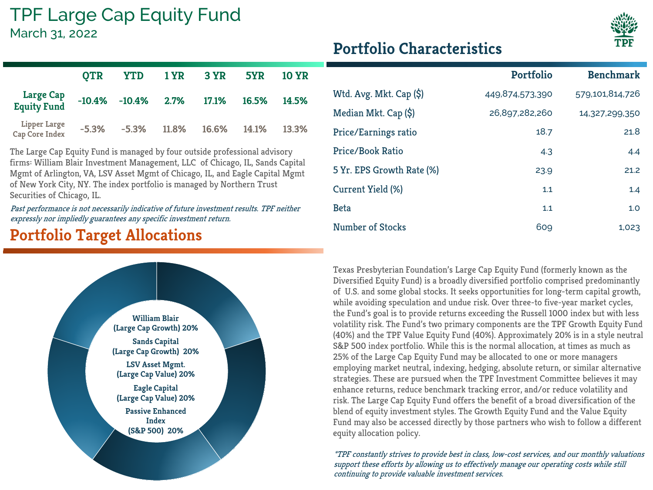## TPF Large Cap Equity Fund

March 31, 2022



|                                       | <b>OTR</b> | <b>YTD</b>               | $1$ YR $3$ YR |       | 5YR   | 10 YR |
|---------------------------------------|------------|--------------------------|---------------|-------|-------|-------|
| <b>Large Cap</b><br>Equity Fund       |            | $-10.4\%$ $-10.4\%$ 2.7% |               | 17.1% | 16.5% | 14.5% |
| <b>Lipper Large</b><br>Cap Core Index | $-5.3%$    | $-5.3\%$                 | 11.8%         | 16.6% | 14.1% | 13.3% |

The Large Cap Equity Fund is managed by four outside professional advisory firms: William Blair Investment Management, LLC of Chicago, IL, Sands Capital Mgmt of Arlington, VA, LSV Asset Mgmt of Chicago, IL, and Eagle Capital Mgmt of New York City, NY. The index portfolio is managed by Northern Trust Securities of Chicago, IL.

Past performance is not necessarily indicative of future investment results. TPF neither expressly nor impliedly guarantees any specific investment return.

### **Portfolio Target Allocations**



|                            | <b>Portfolio</b> | <b>Benchmark</b> |
|----------------------------|------------------|------------------|
| Wtd. Avg. Mkt. Cap $(\xi)$ | 449,874,573,390  | 579,101,814,726  |
| Median Mkt. Cap (\$)       | 26,897,282,260   | 14,327,299,350   |
| Price/Earnings ratio       | 18.7             | 21.8             |
| Price/Book Ratio           | 4.3              | 4.4              |
| 5 Yr. EPS Growth Rate (%)  | 23.9             | 21.2             |
| Current Yield (%)          | 1.1              | 1.4              |
| <b>Beta</b>                | 1.1              | 1.0              |
| Number of Stocks           | 609              | 1,023            |

Texas Presbyterian Foundation's Large Cap Equity Fund (formerly known as the Diversified Equity Fund) is a broadly diversified portfolio comprised predominantly of U.S. and some global stocks. It seeks opportunities for long-term capital growth, while avoiding speculation and undue risk. Over three-to five-year market cycles, the Fund's goal is to provide returns exceeding the Russell 1000 index but with less volatility risk. The Fund's two primary components are the TPF Growth Equity Fund (40%) and the TPF Value Equity Fund (40%). Approximately 20% is in a style neutral S&P 500 index portfolio. While this is the normal allocation, at times as much as 25% of the Large Cap Equity Fund may be allocated to one or more managers employing market neutral, indexing, hedging, absolute return, or similar alternative strategies. These are pursued when the TPF Investment Committee believes it may enhance returns, reduce benchmark tracking error, and/or reduce volatility and risk. The Large Cap Equity Fund offers the benefit of a broad diversification of the blend of equity investment styles. The Growth Equity Fund and the Value Equity Fund may also be accessed directly by those partners who wish to follow a different equity allocation policy.

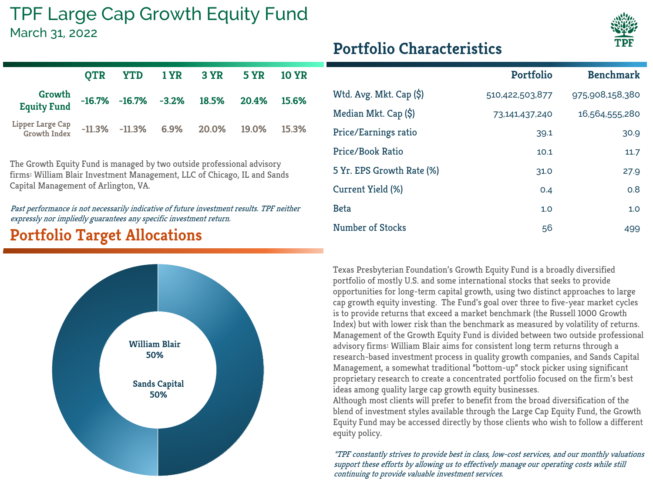#### TPF Large Cap Growth Equity Fund March 31, 2022



|  | <b>Portfolio Characteristics</b> |
|--|----------------------------------|
|--|----------------------------------|

|                                         |  | OTR YTD 1YR 3YR 5YR 10YR                                |  |
|-----------------------------------------|--|---------------------------------------------------------|--|
| Growth<br><b>Equity Fund</b>            |  | $-16.7\%$ $-16.7\%$ $-3.2\%$ $18.5\%$ $20.4\%$ $15.6\%$ |  |
| Lipper Large Cap<br><b>Growth Index</b> |  | $-11.3\%$ $-11.3\%$ 6.9% 20.0% 19.0% 15.3%              |  |

The Growth Equity Fund is managed by two outside professional advisory firms: William Blair Investment Management, LLC of Chicago, IL and Sands Capital Management of Arlington, VA.

Past performance is not necessarily indicative of future investment results. TPF neither expressly nor impliedly guarantees any specific investment return.

### **Portfolio Target Allocations**



|                            | <b>Portfolio</b> | <b>Benchmark</b> |
|----------------------------|------------------|------------------|
| Wtd. Avg. Mkt. Cap $(\xi)$ | 510,422,503,877  | 975,908,158,380  |
| Median Mkt. Cap (\$)       | 73,141,437,240   | 16,564,555,280   |
| Price/Earnings ratio       | 39.1             | 30.9             |
| Price/Book Ratio           | 10.1             | 11.7             |
| 5 Yr. EPS Growth Rate (%)  | 31.0             | 27.9             |
| Current Yield (%)          | O.4              | 0.8              |
| <b>Beta</b>                | 1.0              | 1.0              |
| Number of Stocks           | 56               | 499              |

Texas Presbyterian Foundation's Growth Equity Fund is a broadly diversified portfolio of mostly U.S. and some international stocks that seeks to provide opportunities for long-term capital growth, using two distinct approaches to large cap growth equity investing. The Fund's goal over three to five-year market cycles is to provide returns that exceed a market benchmark (the Russell 1000 Growth Index) but with lower risk than the benchmark as measured by volatility of returns. Management of the Growth Equity Fund is divided between two outside professional advisory firms: William Blair aims for consistent long term returns through a research-based investment process in quality growth companies, and Sands Capital Management, a somewhat traditional "bottom-up" stock picker using significant proprietary research to create a concentrated portfolio focused on the firm's best ideas among quality large cap growth equity businesses.

Although most clients will prefer to benefit from the broad diversification of the blend of investment styles available through the Large Cap Equity Fund, the Growth Equity Fund may be accessed directly by those clients who wish to follow a different equity policy.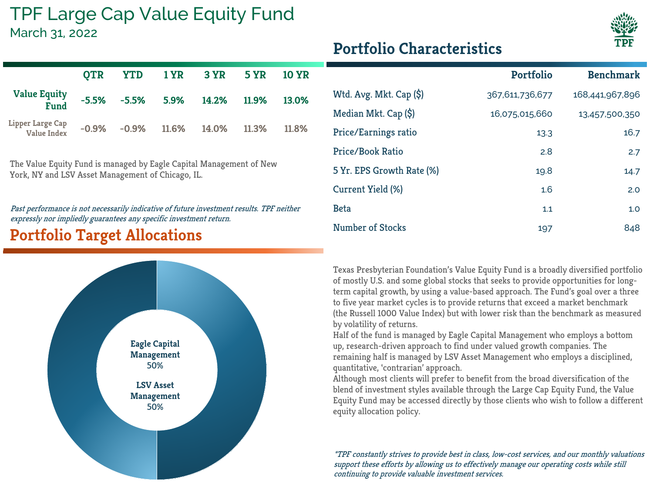# TPF Large Cap Value Equity Fund

March 31, 2022



|  | <b>Portfolio Characteristics</b> |
|--|----------------------------------|
|--|----------------------------------|

|                                    |  | OTR YTD 1YR 3YR 5YR 10YR                             |       |
|------------------------------------|--|------------------------------------------------------|-------|
| <b>Value Equity</b><br><b>Fund</b> |  | $-5.5\%$ $-5.5\%$ $5.9\%$ $14.2\%$ $11.9\%$ $13.0\%$ |       |
| Lipper Large Cap<br>Value Index    |  | $-0.9\%$ $-0.9\%$ 11.6% 14.0% 11.3%                  | 11.8% |

The Value Equity Fund is managed by Eagle Capital Management of New York, NY and LSV Asset Management of Chicago, IL.

Past performance is not necessarily indicative of future investment results. TPF neither expressly nor impliedly guarantees any specific investment return.

### **Portfolio Target Allocations**



|                            | <b>Portfolio</b> | <b>Benchmark</b> |
|----------------------------|------------------|------------------|
| Wtd. Avg. Mkt. Cap $(\xi)$ | 367,611,736,677  | 168,441,967,896  |
| Median Mkt. Cap (\$)       | 16,075,015,660   | 13,457,500,350   |
| Price/Earnings ratio       | 13.3             | 16.7             |
| Price/Book Ratio           | 2.8              | 2.7              |
| 5 Yr. EPS Growth Rate (%)  | 19.8             | 14.7             |
| Current Yield (%)          | 1.6              | 2.0              |
| <b>Beta</b>                | 1.1              | 1.0              |
| Number of Stocks           | 197              | 848              |

Texas Presbyterian Foundation's Value Equity Fund is a broadly diversified portfolio of mostly U.S. and some global stocks that seeks to provide opportunities for longterm capital growth, by using a value-based approach. The Fund's goal over a three to five year market cycles is to provide returns that exceed a market benchmark (the Russell 1000 Value Index) but with lower risk than the benchmark as measured by volatility of returns.

Half of the fund is managed by Eagle Capital Management who employs a bottom up, research-driven approach to find under valued growth companies. The remaining half is managed by LSV Asset Management who employs a disciplined, quantitative, 'contrarian' approach.

Although most clients will prefer to benefit from the broad diversification of the blend of investment styles available through the Large Cap Equity Fund, the Value Equity Fund may be accessed directly by those clients who wish to follow a different equity allocation policy.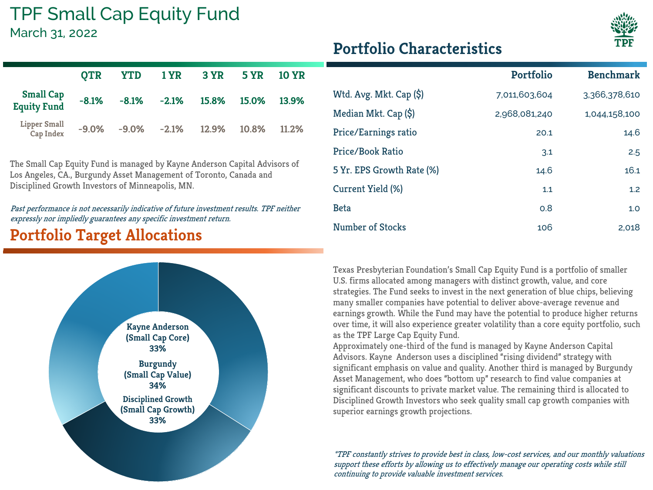### TPF Small Cap Equity Fund

March 31, 2022

П

|                                        | <b>OTR</b> | <b>YTD</b>        | 1 YR 3 YR 5 YR |       | <b>10 YR</b> |
|----------------------------------------|------------|-------------------|----------------|-------|--------------|
| <b>Small Cap</b><br><b>Equity Fund</b> | $-8.1%$    | $-8.1\% -2.1\%$   | 15.8%          | 15.0% | 13.9%        |
| <b>Lipper Small</b><br>Cap Index       | $-9.0%$    | $-9.0\%$ $-2.1\%$ | 12.9%          | 10.8% | 11.2%        |

The Small Cap Equity Fund is managed by Kayne Anderson Capital Advisors of Los Angeles, CA., Burgundy Asset Management of Toronto, Canada and Disciplined Growth Investors of Minneapolis, MN.

Past performance is not necessarily indicative of future investment results. TPF neither expressly nor impliedly guarantees any specific investment return.

### **Portfolio Target Allocations**



|                            | Portfolio     | <b>Benchmark</b> |
|----------------------------|---------------|------------------|
| Wtd. Avg. Mkt. Cap $(\xi)$ | 7,011,603,604 | 3,366,378,610    |
| Median Mkt. Cap (\$)       | 2,968,081,240 | 1,044,158,100    |
| Price/Earnings ratio       | 20.1          | 14.6             |
| Price/Book Ratio           | 3.1           | 2.5              |
| 5 Yr. EPS Growth Rate (%)  | 14.6          | 16.1             |
| Current Yield (%)          | 1.1           | 1.2              |
| <b>Beta</b>                | 0.8           | 1.0              |
| <b>Number of Stocks</b>    | 106           | 2.018            |

Texas Presbyterian Foundation's Small Cap Equity Fund is a portfolio of smaller U.S. firms allocated among managers with distinct growth, value, and core strategies. The Fund seeks to invest in the next generation of blue chips, believing many smaller companies have potential to deliver above-average revenue and earnings growth. While the Fund may have the potential to produce higher returns over time, it will also experience greater volatility than a core equity portfolio, such as the TPF Large Cap Equity Fund.

Approximately one-third of the fund is managed by Kayne Anderson Capital Advisors. Kayne Anderson uses a disciplined "rising dividend" strategy with significant emphasis on value and quality. Another third is managed by Burgundy Asset Management, who does "bottom up" research to find value companies at significant discounts to private market value. The remaining third is allocated to Disciplined Growth Investors who seek quality small cap growth companies with superior earnings growth projections.

\*TPF constantly strives to provide best in class, low-cost services, and our monthly valuations support these efforts by allowing us to effectively manage our operating costs while still continuing to provide valuable investment services.

### **Portfolio Characteristics**

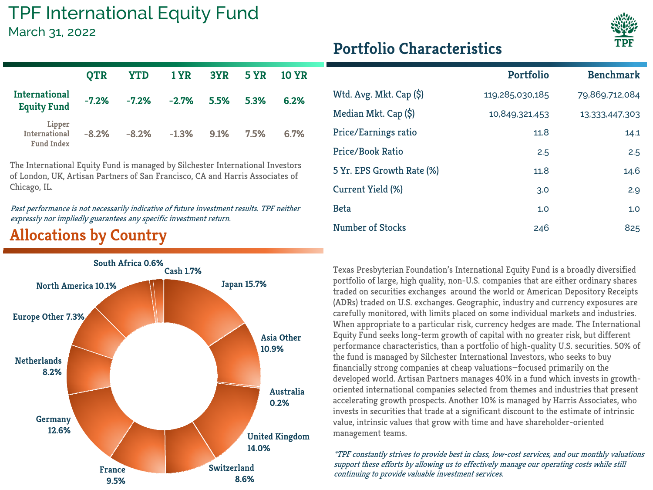### TPF International Equity Fund

March 31, 2022



The International Equity Fund is managed by Silchester International Investors of London, UK, Artisan Partners of San Francisco, CA and Harris Associates of Chicago, IL.

Past performance is not necessarily indicative of future investment results. TPF neither expressly nor impliedly guarantees any specific investment return.

### **Allocations by Country**



|                            | <b>Portfolio</b> | <b>Benchmark</b> |
|----------------------------|------------------|------------------|
| Wtd. Avg. Mkt. Cap $(\xi)$ | 119,285,030,185  | 79,869,712,084   |
| Median Mkt. Cap (\$)       | 10,849,321,453   | 13,333,447,303   |
| Price/Earnings ratio       | 11.8             | 14.1             |
| Price/Book Ratio           | 2.5              | 2.5              |
| 5 Yr. EPS Growth Rate (%)  | 11.8             | 14.6             |
| Current Yield (%)          | 3.0              | 2.9              |
| <b>Beta</b>                | 1.0              | 1.0              |
| Number of Stocks           | 246              | 825              |

Texas Presbyterian Foundation's International Equity Fund is a broadly diversified portfolio of large, high quality, non-U.S. companies that are either ordinary shares traded on securities exchanges around the world or American Depository Receipts (ADRs) traded on U.S. exchanges. Geographic, industry and currency exposures are carefully monitored, with limits placed on some individual markets and industries. When appropriate to a particular risk, currency hedges are made. The International Equity Fund seeks long-term growth of capital with no greater risk, but different performance characteristics, than a portfolio of high-quality U.S. securities. 50% of the fund is managed by Silchester International Investors, who seeks to buy financially strong companies at cheap valuations—focused primarily on the developed world. Artisan Partners manages 40% in a fund which invests in growthoriented international companies selected from themes and industries that present accelerating growth prospects. Another 10% is managed by Harris Associates, who invests in securities that trade at a significant discount to the estimate of intrinsic value, intrinsic values that grow with time and have shareholder-oriented management teams.



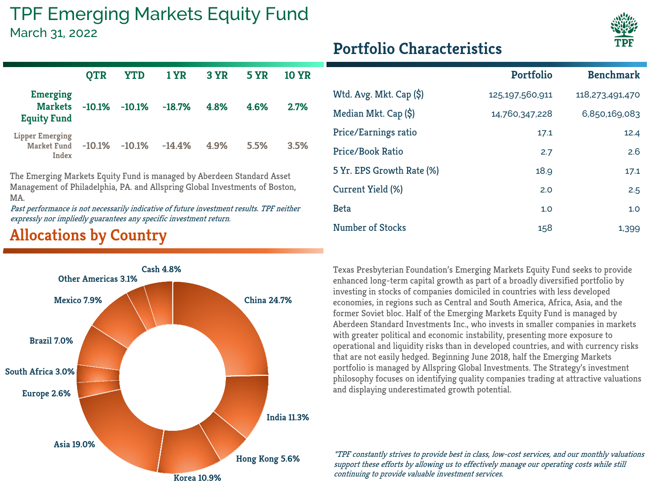## TPF Emerging Markets Equity Fund

#### March 31, 2022

|                                                         | <b>OTR</b> | <b>YTD</b> | <b>1 YR</b> | 3 YR | <b>5 YR</b> | 10 YR |
|---------------------------------------------------------|------------|------------|-------------|------|-------------|-------|
| <b>Emerging</b><br><b>Markets</b><br><b>Equity Fund</b> | $-10.1%$   | $-10.1%$   | $-18.7%$    | 4.8% | 4.6%        | 2.7%  |
| <b>Lipper Emerging</b><br>Market Fund<br>Index          | $-10.1%$   | $-10.1%$   | $-14.4%$    | 4.9% | 5.5%        | 3.5%  |

The Emerging Markets Equity Fund is managed by Aberdeen Standard Asset Management of Philadelphia, PA. and Allspring Global Investments of Boston, MA.

Past performance is not necessarily indicative of future investment results. TPF neither expressly nor impliedly guarantees any specific investment return.

### **Allocations by Country**



|                            | <b>Portfolio</b> | <b>Benchmark</b> |
|----------------------------|------------------|------------------|
| Wtd. Avg. Mkt. Cap $(\xi)$ | 125,197,560,911  | 118,273,491,470  |
| Median Mkt. Cap (\$)       | 14,760,347,228   | 6,850,169,083    |
| Price/Earnings ratio       | 17.1             | 12.4             |
| Price/Book Ratio           | 2.7              | 2.6              |
| 5 Yr. EPS Growth Rate (%)  | 18.9             | 17.1             |
| Current Yield (%)          | 2.0              | 2.5              |
| <b>Beta</b>                | 1.0              | 1.0              |
| Number of Stocks           | 158              | 1,399            |

Texas Presbyterian Foundation's Emerging Markets Equity Fund seeks to provide enhanced long-term capital growth as part of a broadly diversified portfolio by investing in stocks of companies domiciled in countries with less developed economies, in regions such as Central and South America, Africa, Asia, and the former Soviet bloc. Half of the Emerging Markets Equity Fund is managed by Aberdeen Standard Investments Inc., who invests in smaller companies in markets with greater political and economic instability, presenting more exposure to operational and liquidity risks than in developed countries, and with currency risks that are not easily hedged. Beginning June 2018, half the Emerging Markets portfolio is managed by Allspring Global Investments. The Strategy's investment philosophy focuses on identifying quality companies trading at attractive valuations and displaying underestimated growth potential.

\*TPF constantly strives to provide best in class, low-cost services, and our monthly valuations support these efforts by allowing us to effectively manage our operating costs while still continuing to provide valuable investment services.



# **Portfolio Characteristics**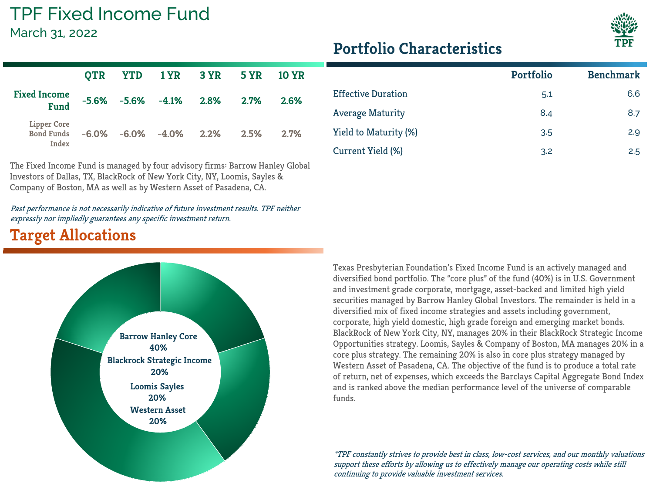### TPF Fixed Income Fund

March 31, 2022



#### **Portfolio Characteristics**

|                                           |  |                                 | OTR YTD 1YR 3YR 5YR                  |         | <b>10 YR</b> |
|-------------------------------------------|--|---------------------------------|--------------------------------------|---------|--------------|
| <b>Fixed Income</b><br><b>Fund</b>        |  | $-5.6\%$ $-5.6\%$ $-4.1\%$ 2.8% |                                      | $2.7\%$ | 2.6%         |
| Lipper Core<br><b>Bond Funds</b><br>Index |  |                                 | $-6.0\%$ $-6.0\%$ $-4.0\%$ 2.2% 2.5% |         | 2.7%         |

The Fixed Income Fund is managed by four advisory firms: Barrow Hanley Global Investors of Dallas, TX, BlackRock of New York City, NY, Loomis, Sayles & Company of Boston, MA as well as by Western Asset of Pasadena, CA.

Past performance is not necessarily indicative of future investment results. TPF neither expressly nor impliedly guarantees any specific investment return.

#### **Target Allocations**



|                           | <b>Portfolio</b> | <b>Benchmark</b> |
|---------------------------|------------------|------------------|
| <b>Effective Duration</b> | 5.1              | 6.6              |
| <b>Average Maturity</b>   | 8.4              | 8.7              |
| Yield to Maturity (%)     | 3.5              | 2.9              |
| Current Yield (%)         | 3.2              | 2.5              |

Texas Presbyterian Foundation's Fixed Income Fund is an actively managed and diversified bond portfolio. The "core plus" of the fund (40%) is in U.S. Government and investment grade corporate, mortgage, asset-backed and limited high yield securities managed by Barrow Hanley Global Investors. The remainder is held in a diversified mix of fixed income strategies and assets including government, corporate, high yield domestic, high grade foreign and emerging market bonds. BlackRock of New York City, NY, manages 20% in their BlackRock Strategic Income Opportunities strategy. Loomis, Sayles & Company of Boston, MA manages 20% in a core plus strategy. The remaining 20% is also in core plus strategy managed by Western Asset of Pasadena, CA. The objective of the fund is to produce a total rate of return, net of expenses, which exceeds the Barclays Capital Aggregate Bond Index and is ranked above the median performance level of the universe of comparable funds.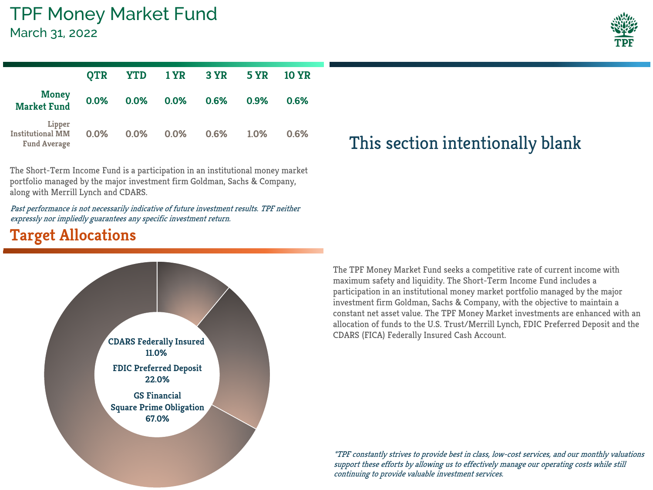|                                                          | <b>OTR</b> |         | YTD 1YR 3YR |      | <b>5 YR</b> | <b>10 YR</b> |
|----------------------------------------------------------|------------|---------|-------------|------|-------------|--------------|
| <b>Money</b><br><b>Market Fund</b>                       | 0.0%       | $0.0\%$ | $0.0\%$     | 0.6% | 0.9%        | 0.6%         |
| Lipper<br><b>Institutional MM</b><br><b>Fund Average</b> | $0.0\%$    | $0.0\%$ | $0.0\%$     | 0.6% | 1.0%        | 0.6%         |

The Short-Term Income Fund is a participation in an institutional money market portfolio managed by the major investment firm Goldman, Sachs & Company, along with Merrill Lynch and CDARS.

Past performance is not necessarily indicative of future investment results. TPF neither expressly nor impliedly guarantees any specific investment return.

#### **Target Allocations**



## **0.0% 0.0% 0.0% 0.6% 1.0% 0.6%** This section intentionally blank

The TPF Money Market Fund seeks a competitive rate of current income with maximum safety and liquidity. The Short-Term Income Fund includes a participation in an institutional money market portfolio managed by the major investment firm Goldman, Sachs & Company, with the objective to maintain a constant net asset value. The TPF Money Market investments are enhanced with an allocation of funds to the U.S. Trust/Merrill Lynch, FDIC Preferred Deposit and the CDARS (FICA) Federally Insured Cash Account.

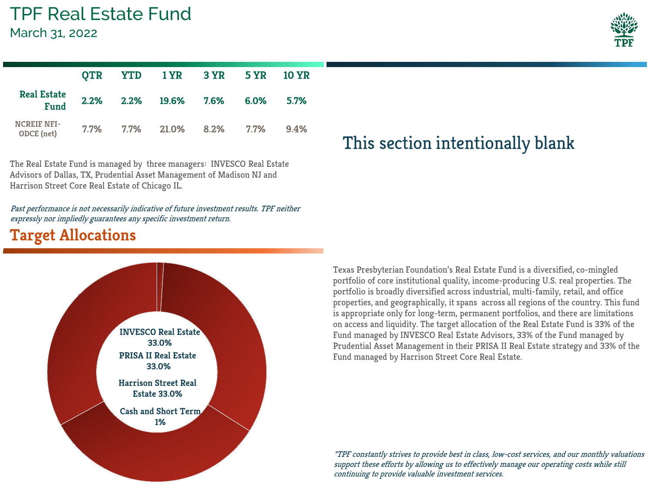March 31, 2022

|                                   |  | OTR YTD 1YR 3YR 5YR 10YR       |  |      |
|-----------------------------------|--|--------------------------------|--|------|
| <b>Real Estate</b><br><b>Fund</b> |  | 2.2% 2.2% 19.6% 7.6% 6.0% 5.7% |  |      |
| <b>NCREIF NFI-</b><br>ODCE (net)  |  | 7.7% 7.7% 21.0% 8.2% 7.7%      |  | 9.4% |

The Real Estate Fund is managed by three managers: INVESCO Real Estate Advisors of Dallas, TX, Prudential Asset Management of Madison NJ and Harrison Street Core Real Estate of Chicago IL.

Past performance is not necessarily indicative of future investment results. TPF neither expressly nor impliedly guarantees any specific investment return.

#### **Target Allocations**



## This section intentionally blank

Texas Presbyterian Foundation's Real Estate Fund is a diversified, co-mingled portfolio of core institutional quality, income-producing U.S. real properties. The portfolio is broadly diversified across industrial, multi-family, retail, and office properties, and geographically, it spans across all regions of the country. This fund is appropriate only for long-term, permanent portfolios, and there are limitations on access and liquidity. The target allocation of the Real Estate Fund is 33% of the Fund managed by INVESCO Real Estate Advisors, 33% of the Fund managed by Prudential Asset Management in their PRISA II Real Estate strategy and 33% of the Fund managed by Harrison Street Core Real Estate.

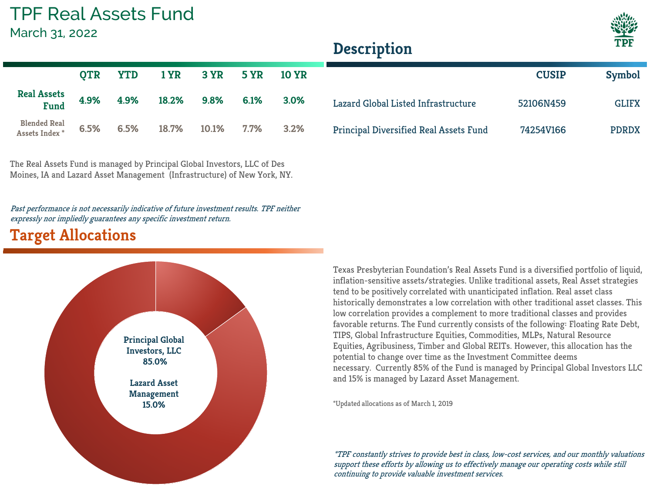### TPF Real Assets Fund

March 31, 2022



**CUSIP Symbol**

### **Description**

|                                                  |  | QTR YTD 1YR 3YR 5YR 10YR   |  |         |
|--------------------------------------------------|--|----------------------------|--|---------|
| <b>Real Assets</b><br><b>Fund</b>                |  | 4.9% 4.9% 18.2% 9.8% 6.1%  |  | 3.0%    |
| <b>Blended Real</b><br>Assets Index <sup>*</sup> |  | 6.5% 6.5% 18.7% 10.1% 7.7% |  | $3.2\%$ |

The Real Assets Fund is managed by Principal Global Investors, LLC of Des Moines, IA and Lazard Asset Management (Infrastructure) of New York, NY.

Past performance is not necessarily indicative of future investment results. TPF neither expressly nor impliedly guarantees any specific investment return.

#### **Target Allocations**



Texas Presbyterian Foundation's Real Assets Fund is a diversified portfolio of liquid, inflation-sensitive assets/strategies. Unlike traditional assets, Real Asset strategies tend to be positively correlated with unanticipated inflation. Real asset class historically demonstrates a low correlation with other traditional asset classes. This low correlation provides a complement to more traditional classes and provides favorable returns. The Fund currently consists of the following: Floating Rate Debt, TIPS, Global Infrastructure Equities, Commodities, MLPs, Natural Resource Equities, Agribusiness, Timber and Global REITs. However, this allocation has the potential to change over time as the Investment Committee deems necessary. Currently 85% of the Fund is managed by Principal Global Investors LLC and 15% is managed by Lazard Asset Management.

Lazard Global Listed Infrastructure 52106N459 GLIFX

Principal Diversified Real Assets Fund 74254V166 PDRDX

\*Updated allocations as of March 1, 2019